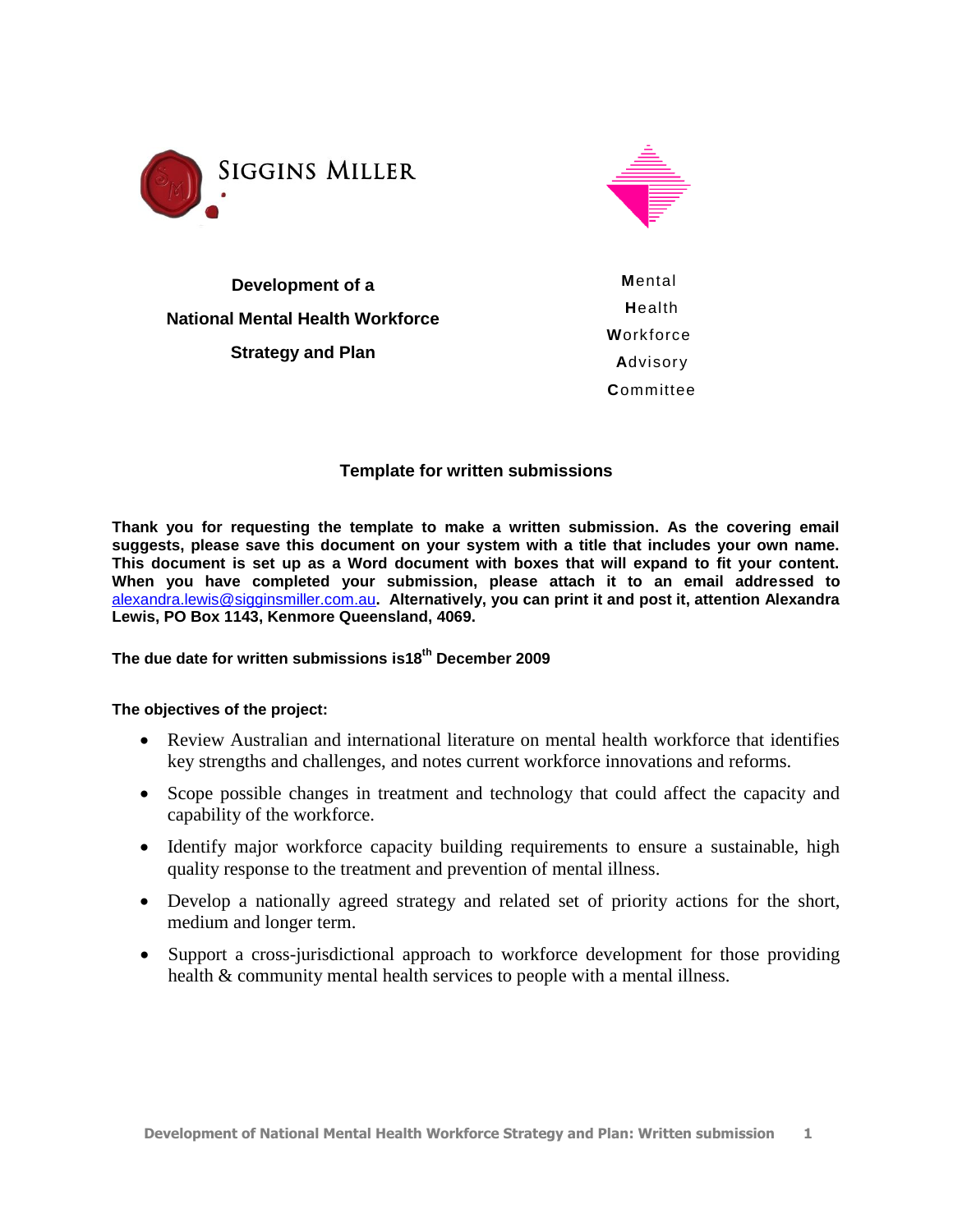



**Development of a National Mental Health Workforce Strategy and Plan**

**M**ental **H**ealth **W**orkforce **A**dvisory **C**ommittee

# **Template for written submissions**

**Thank you for requesting the template to make a written submission. As the covering email suggests, please save this document on your system with a title that includes your own name. This document is set up as a Word document with boxes that will expand to fit your content. When you have completed your submission, please attach it to an email addressed to**  [alexandra.lewis@sigginsmiller.com.au](mailto:alexandra.lewis@sigginsmiller.com.au)**. Alternatively, you can print it and post it, attention Alexandra Lewis, PO Box 1143, Kenmore Queensland, 4069.**

# **The due date for written submissions is18th December 2009**

#### **The objectives of the project:**

- Review Australian and international literature on mental health workforce that identifies key strengths and challenges, and notes current workforce innovations and reforms.
- Scope possible changes in treatment and technology that could affect the capacity and capability of the workforce.
- Identify major workforce capacity building requirements to ensure a sustainable, high quality response to the treatment and prevention of mental illness.
- Develop a nationally agreed strategy and related set of priority actions for the short, medium and longer term.
- Support a cross-jurisdictional approach to workforce development for those providing health & community mental health services to people with a mental illness.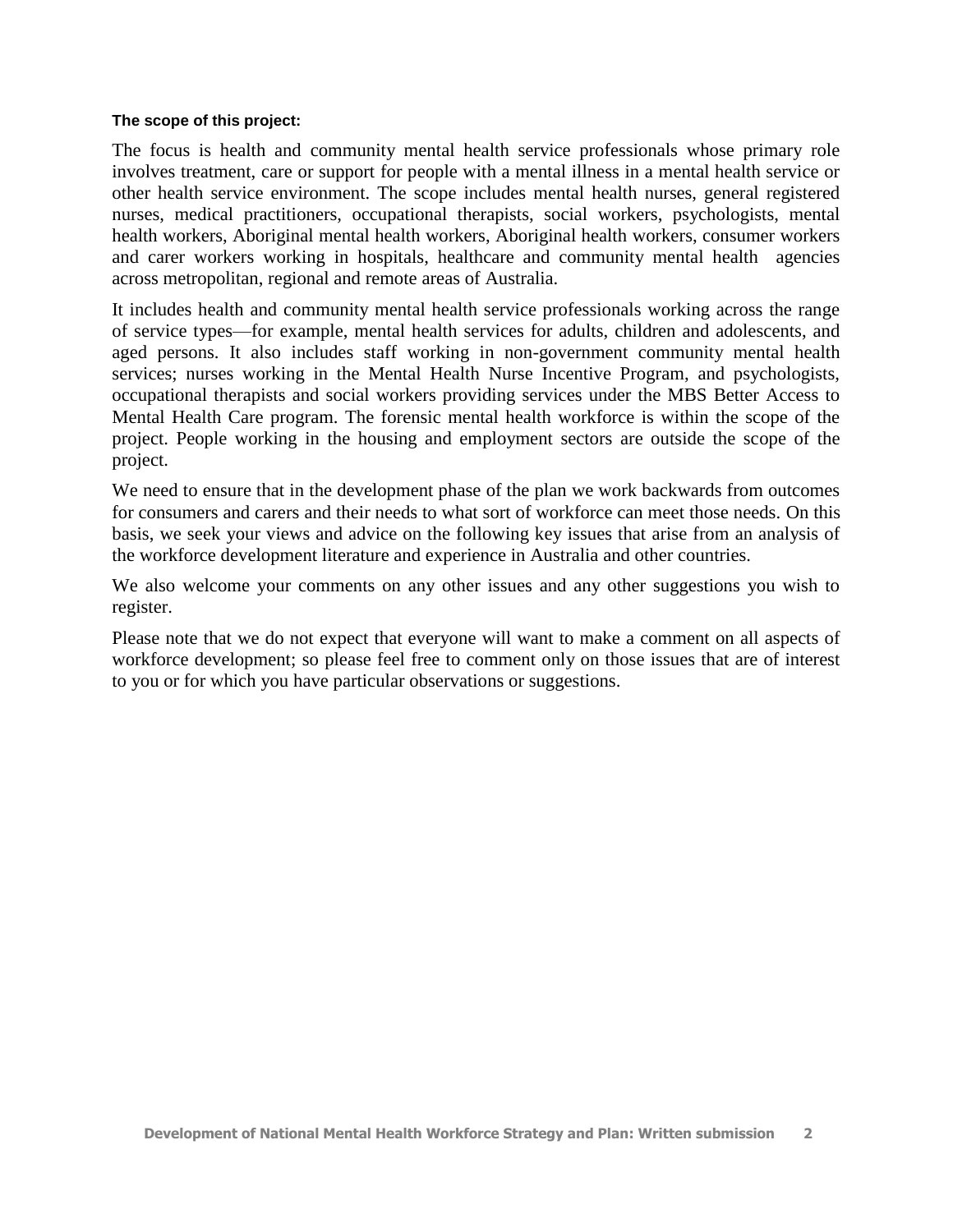#### **The scope of this project:**

The focus is health and community mental health service professionals whose primary role involves treatment, care or support for people with a mental illness in a mental health service or other health service environment. The scope includes mental health nurses, general registered nurses, medical practitioners, occupational therapists, social workers, psychologists, mental health workers, Aboriginal mental health workers, Aboriginal health workers, consumer workers and carer workers working in hospitals, healthcare and community mental health agencies across metropolitan, regional and remote areas of Australia.

It includes health and community mental health service professionals working across the range of service types—for example, mental health services for adults, children and adolescents, and aged persons. It also includes staff working in non-government community mental health services; nurses working in the Mental Health Nurse Incentive Program, and psychologists, occupational therapists and social workers providing services under the MBS Better Access to Mental Health Care program. The forensic mental health workforce is within the scope of the project. People working in the housing and employment sectors are outside the scope of the project.

We need to ensure that in the development phase of the plan we work backwards from outcomes for consumers and carers and their needs to what sort of workforce can meet those needs. On this basis, we seek your views and advice on the following key issues that arise from an analysis of the workforce development literature and experience in Australia and other countries.

We also welcome your comments on any other issues and any other suggestions you wish to register.

Please note that we do not expect that everyone will want to make a comment on all aspects of workforce development; so please feel free to comment only on those issues that are of interest to you or for which you have particular observations or suggestions.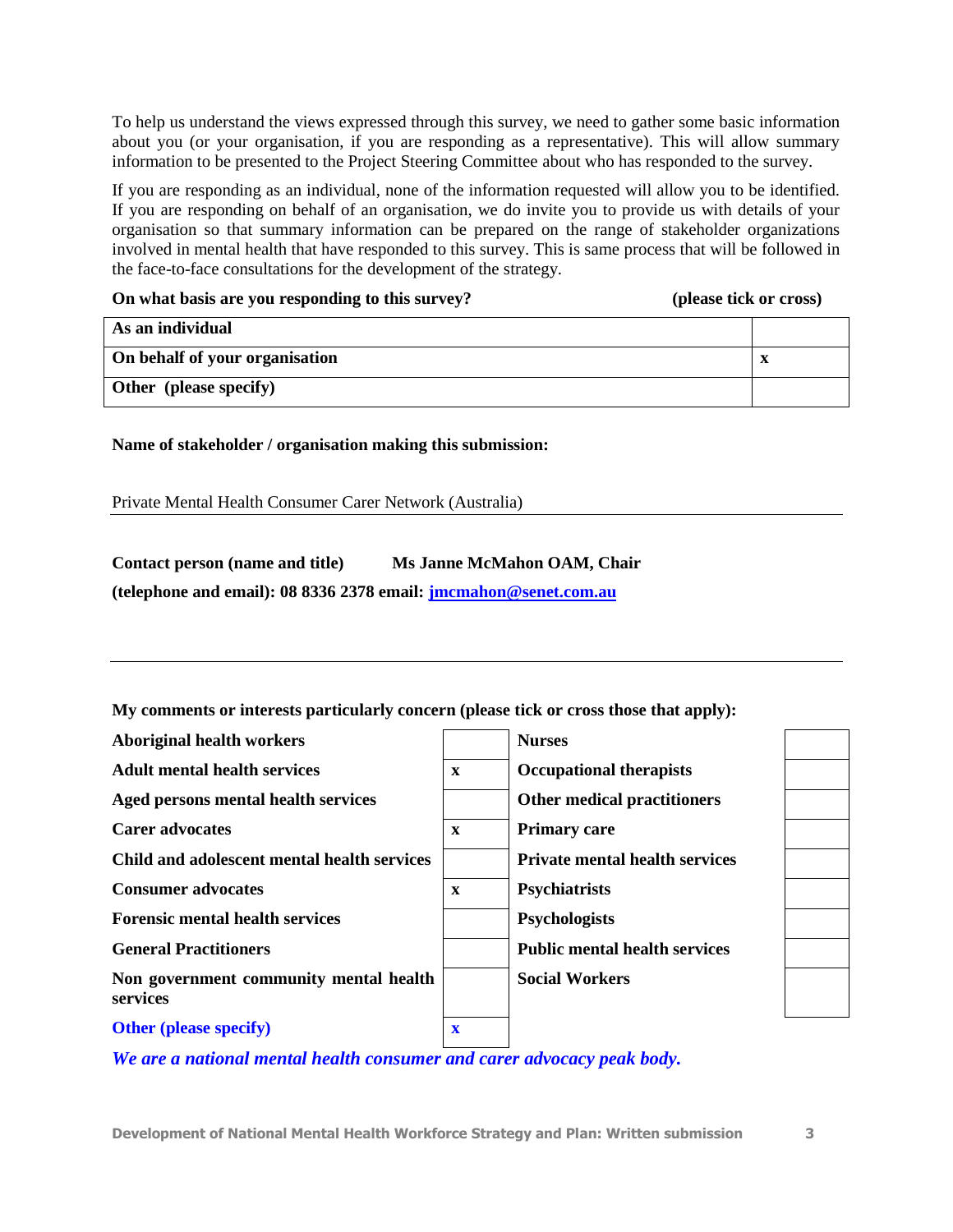To help us understand the views expressed through this survey, we need to gather some basic information about you (or your organisation, if you are responding as a representative). This will allow summary information to be presented to the Project Steering Committee about who has responded to the survey.

If you are responding as an individual, none of the information requested will allow you to be identified. If you are responding on behalf of an organisation, we do invite you to provide us with details of your organisation so that summary information can be prepared on the range of stakeholder organizations involved in mental health that have responded to this survey. This is same process that will be followed in the face-to-face consultations for the development of the strategy.

# **On what basis are you responding to this survey? (please tick or cross) As an individual On behalf of your organisation x Other (please specify)**

## **Name of stakeholder / organisation making this submission:**

Private Mental Health Consumer Carer Network (Australia)

## **Contact person (name and title) Ms Janne McMahon OAM, Chair**

**(telephone and email): 08 8336 2378 email: [jmcmahon@senet.com.au](mailto:jmcmahon@senet.com.au)**

**My comments or interests particularly concern (please tick or cross those that apply):**

| <b>Aboriginal health workers</b>                   |                         | <b>Nurses</b>                         |  |
|----------------------------------------------------|-------------------------|---------------------------------------|--|
| <b>Adult mental health services</b>                | $\mathbf{x}$            | <b>Occupational therapists</b>        |  |
| Aged persons mental health services                |                         | <b>Other medical practitioners</b>    |  |
| <b>Carer advocates</b>                             | $\mathbf x$             | <b>Primary care</b>                   |  |
| Child and adolescent mental health services        |                         | <b>Private mental health services</b> |  |
| <b>Consumer advocates</b>                          | $\mathbf{x}$            | <b>Psychiatrists</b>                  |  |
| <b>Forensic mental health services</b>             |                         | <b>Psychologists</b>                  |  |
| <b>General Practitioners</b>                       |                         | <b>Public mental health services</b>  |  |
| Non government community mental health<br>services |                         | <b>Social Workers</b>                 |  |
| <b>Other (please specify)</b>                      | $\overline{\mathbf{X}}$ |                                       |  |

*We are a national mental health consumer and carer advocacy peak body.*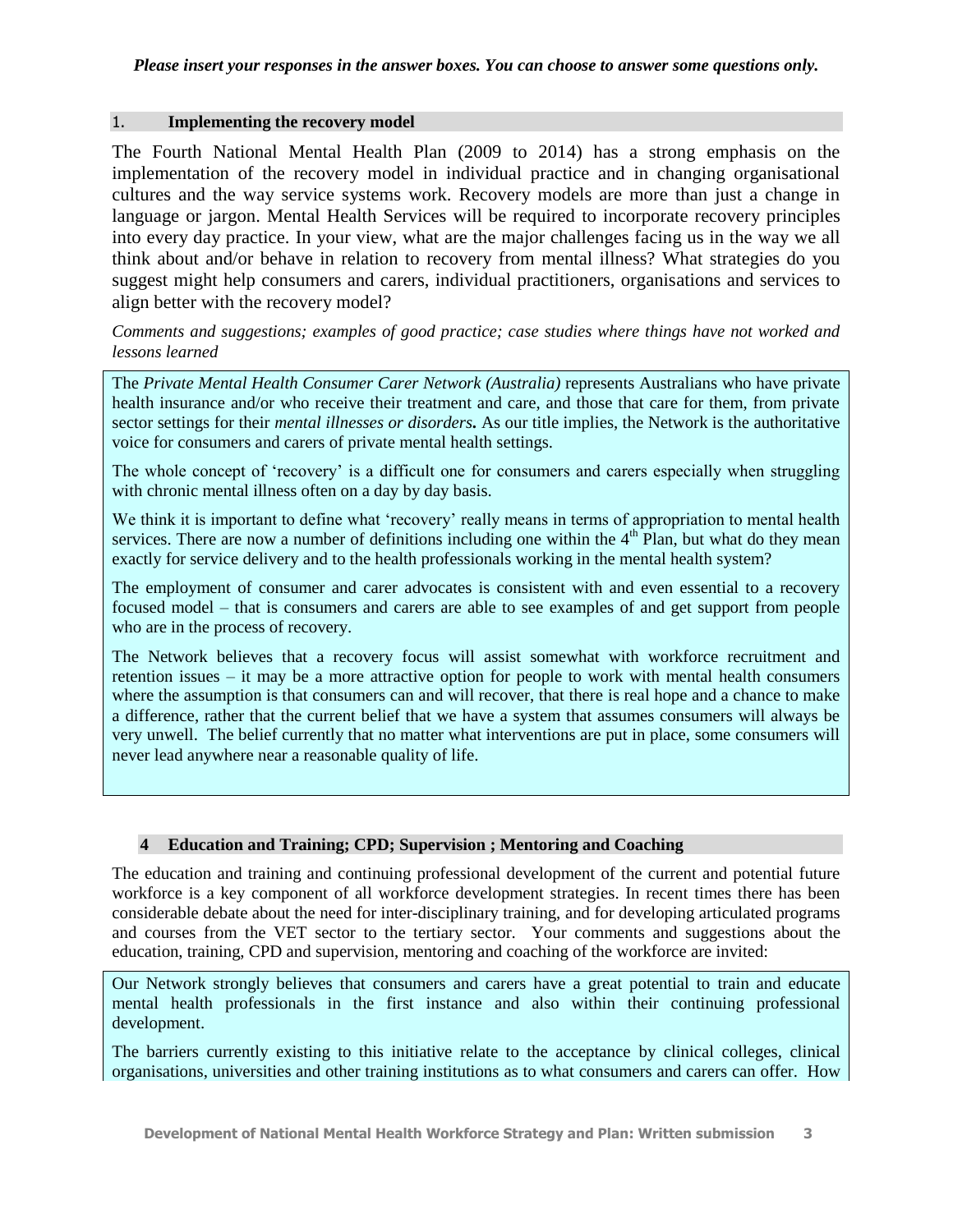#### 1. **Implementing the recovery model**

The Fourth National Mental Health Plan (2009 to 2014) has a strong emphasis on the implementation of the recovery model in individual practice and in changing organisational cultures and the way service systems work. Recovery models are more than just a change in language or jargon. Mental Health Services will be required to incorporate recovery principles into every day practice. In your view, what are the major challenges facing us in the way we all think about and/or behave in relation to recovery from mental illness? What strategies do you suggest might help consumers and carers, individual practitioners, organisations and services to align better with the recovery model?

### *Comments and suggestions; examples of good practice; case studies where things have not worked and lessons learned*

The *Private Mental Health Consumer Carer Network (Australia)* represents Australians who have private health insurance and/or who receive their treatment and care, and those that care for them, from private sector settings for their *mental illnesses or disorders.* As our title implies, the Network is the authoritative voice for consumers and carers of private mental health settings.

The whole concept of 'recovery' is a difficult one for consumers and carers especially when struggling with chronic mental illness often on a day by day basis.

We think it is important to define what 'recovery' really means in terms of appropriation to mental health services. There are now a number of definitions including one within the  $4<sup>th</sup>$  Plan, but what do they mean exactly for service delivery and to the health professionals working in the mental health system?

The employment of consumer and carer advocates is consistent with and even essential to a recovery focused model – that is consumers and carers are able to see examples of and get support from people who are in the process of recovery.

The Network believes that a recovery focus will assist somewhat with workforce recruitment and retention issues – it may be a more attractive option for people to work with mental health consumers where the assumption is that consumers can and will recover, that there is real hope and a chance to make a difference, rather that the current belief that we have a system that assumes consumers will always be very unwell. The belief currently that no matter what interventions are put in place, some consumers will never lead anywhere near a reasonable quality of life.

#### **4 Education and Training; CPD; Supervision ; Mentoring and Coaching**

The education and training and continuing professional development of the current and potential future workforce is a key component of all workforce development strategies. In recent times there has been considerable debate about the need for inter-disciplinary training, and for developing articulated programs and courses from the VET sector to the tertiary sector. Your comments and suggestions about the education, training, CPD and supervision, mentoring and coaching of the workforce are invited:

Our Network strongly believes that consumers and carers have a great potential to train and educate mental health professionals in the first instance and also within their continuing professional development.

The barriers currently existing to this initiative relate to the acceptance by clinical colleges, clinical organisations, universities and other training institutions as to what consumers and carers can offer. How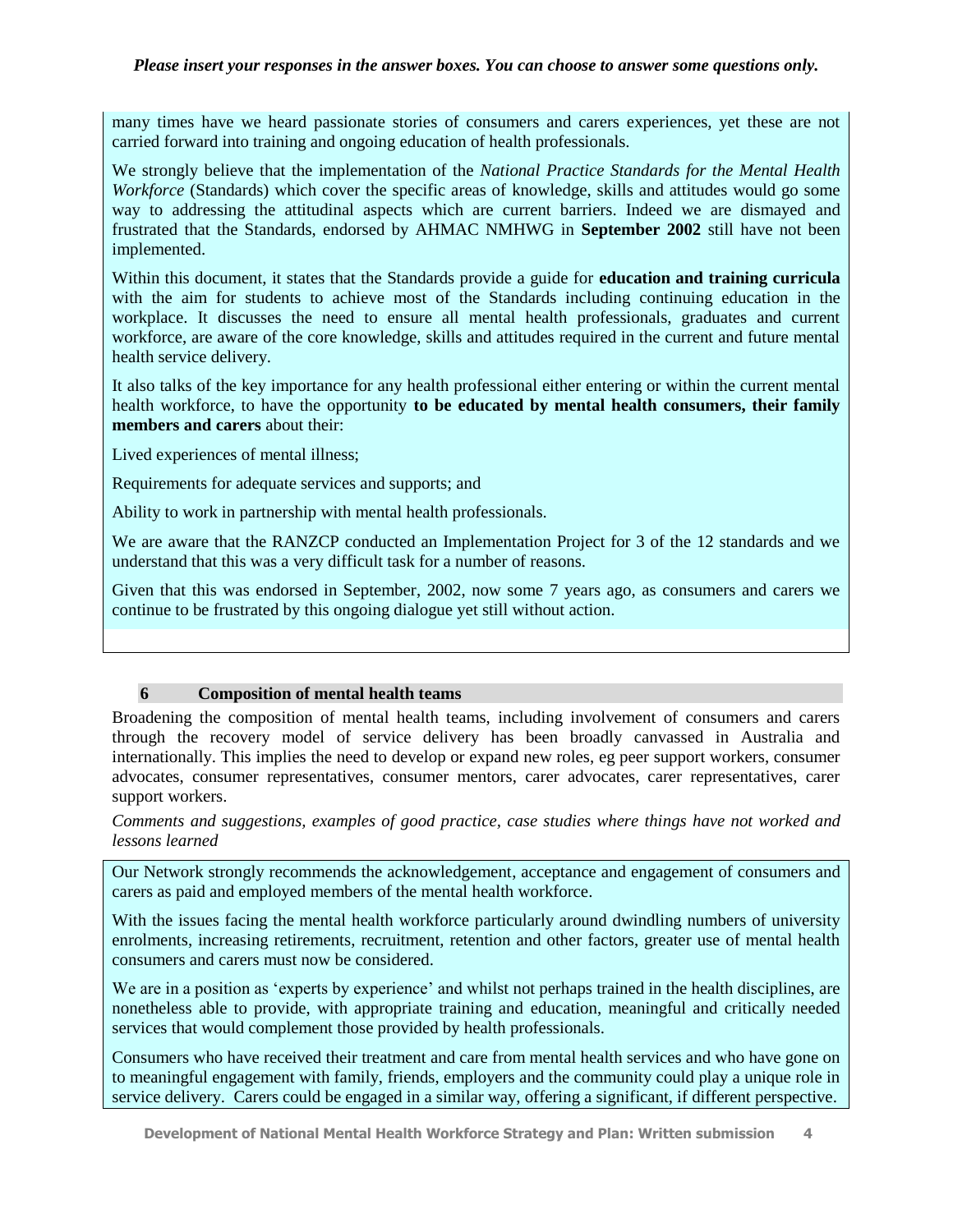#### *Please insert your responses in the answer boxes. You can choose to answer some questions only.*

many times have we heard passionate stories of consumers and carers experiences, yet these are not carried forward into training and ongoing education of health professionals.

We strongly believe that the implementation of the *National Practice Standards for the Mental Health Workforce* (Standards) which cover the specific areas of knowledge, skills and attitudes would go some way to addressing the attitudinal aspects which are current barriers. Indeed we are dismayed and frustrated that the Standards, endorsed by AHMAC NMHWG in **September 2002** still have not been implemented.

Within this document, it states that the Standards provide a guide for **education and training curricula** with the aim for students to achieve most of the Standards including continuing education in the workplace. It discusses the need to ensure all mental health professionals, graduates and current workforce, are aware of the core knowledge, skills and attitudes required in the current and future mental health service delivery.

It also talks of the key importance for any health professional either entering or within the current mental health workforce, to have the opportunity **to be educated by mental health consumers, their family members and carers** about their:

Lived experiences of mental illness;

Requirements for adequate services and supports; and

Ability to work in partnership with mental health professionals.

We are aware that the RANZCP conducted an Implementation Project for 3 of the 12 standards and we understand that this was a very difficult task for a number of reasons.

Given that this was endorsed in September, 2002, now some 7 years ago, as consumers and carers we continue to be frustrated by this ongoing dialogue yet still without action.

#### **6 Composition of mental health teams**

Broadening the composition of mental health teams, including involvement of consumers and carers through the recovery model of service delivery has been broadly canvassed in Australia and internationally. This implies the need to develop or expand new roles, eg peer support workers, consumer advocates, consumer representatives, consumer mentors, carer advocates, carer representatives, carer support workers.

*Comments and suggestions, examples of good practice, case studies where things have not worked and lessons learned*

Our Network strongly recommends the acknowledgement, acceptance and engagement of consumers and carers as paid and employed members of the mental health workforce.

With the issues facing the mental health workforce particularly around dwindling numbers of university enrolments, increasing retirements, recruitment, retention and other factors, greater use of mental health consumers and carers must now be considered.

We are in a position as 'experts by experience' and whilst not perhaps trained in the health disciplines, are nonetheless able to provide, with appropriate training and education, meaningful and critically needed services that would complement those provided by health professionals.

Consumers who have received their treatment and care from mental health services and who have gone on to meaningful engagement with family, friends, employers and the community could play a unique role in service delivery. Carers could be engaged in a similar way, offering a significant, if different perspective.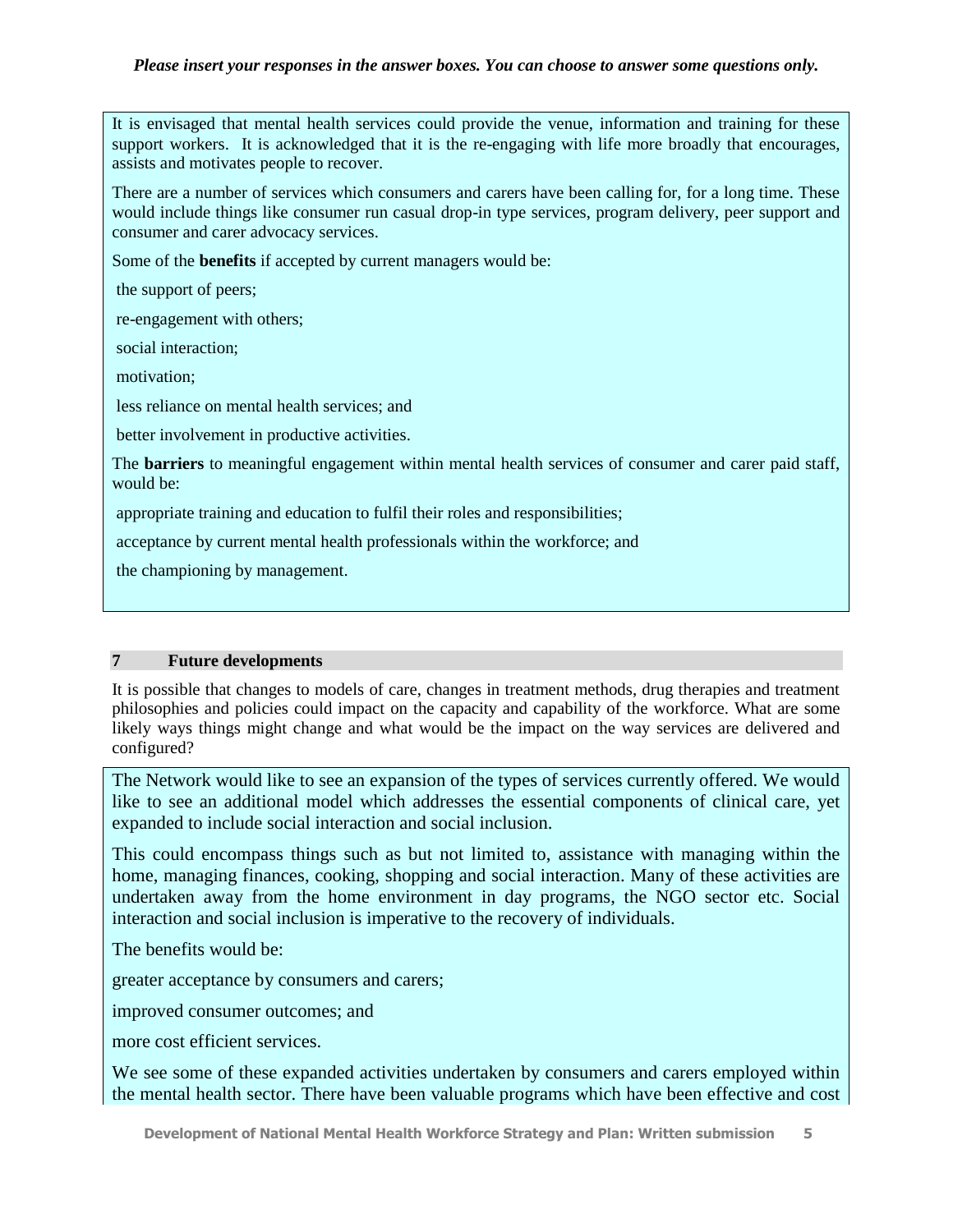#### *Please insert your responses in the answer boxes. You can choose to answer some questions only.*

It is envisaged that mental health services could provide the venue, information and training for these support workers. It is acknowledged that it is the re-engaging with life more broadly that encourages, assists and motivates people to recover.

There are a number of services which consumers and carers have been calling for, for a long time. These would include things like consumer run casual drop-in type services, program delivery, peer support and consumer and carer advocacy services.

Some of the **benefits** if accepted by current managers would be:

the support of peers;

re-engagement with others;

social interaction;

motivation;

less reliance on mental health services; and

better involvement in productive activities.

The **barriers** to meaningful engagement within mental health services of consumer and carer paid staff, would be:

appropriate training and education to fulfil their roles and responsibilities;

acceptance by current mental health professionals within the workforce; and

the championing by management.

#### **7 Future developments**

It is possible that changes to models of care, changes in treatment methods, drug therapies and treatment philosophies and policies could impact on the capacity and capability of the workforce. What are some likely ways things might change and what would be the impact on the way services are delivered and configured?

The Network would like to see an expansion of the types of services currently offered. We would like to see an additional model which addresses the essential components of clinical care, yet expanded to include social interaction and social inclusion.

This could encompass things such as but not limited to, assistance with managing within the home, managing finances, cooking, shopping and social interaction. Many of these activities are undertaken away from the home environment in day programs, the NGO sector etc. Social interaction and social inclusion is imperative to the recovery of individuals.

The benefits would be:

greater acceptance by consumers and carers;

improved consumer outcomes; and

more cost efficient services.

We see some of these expanded activities undertaken by consumers and carers employed within the mental health sector. There have been valuable programs which have been effective and cost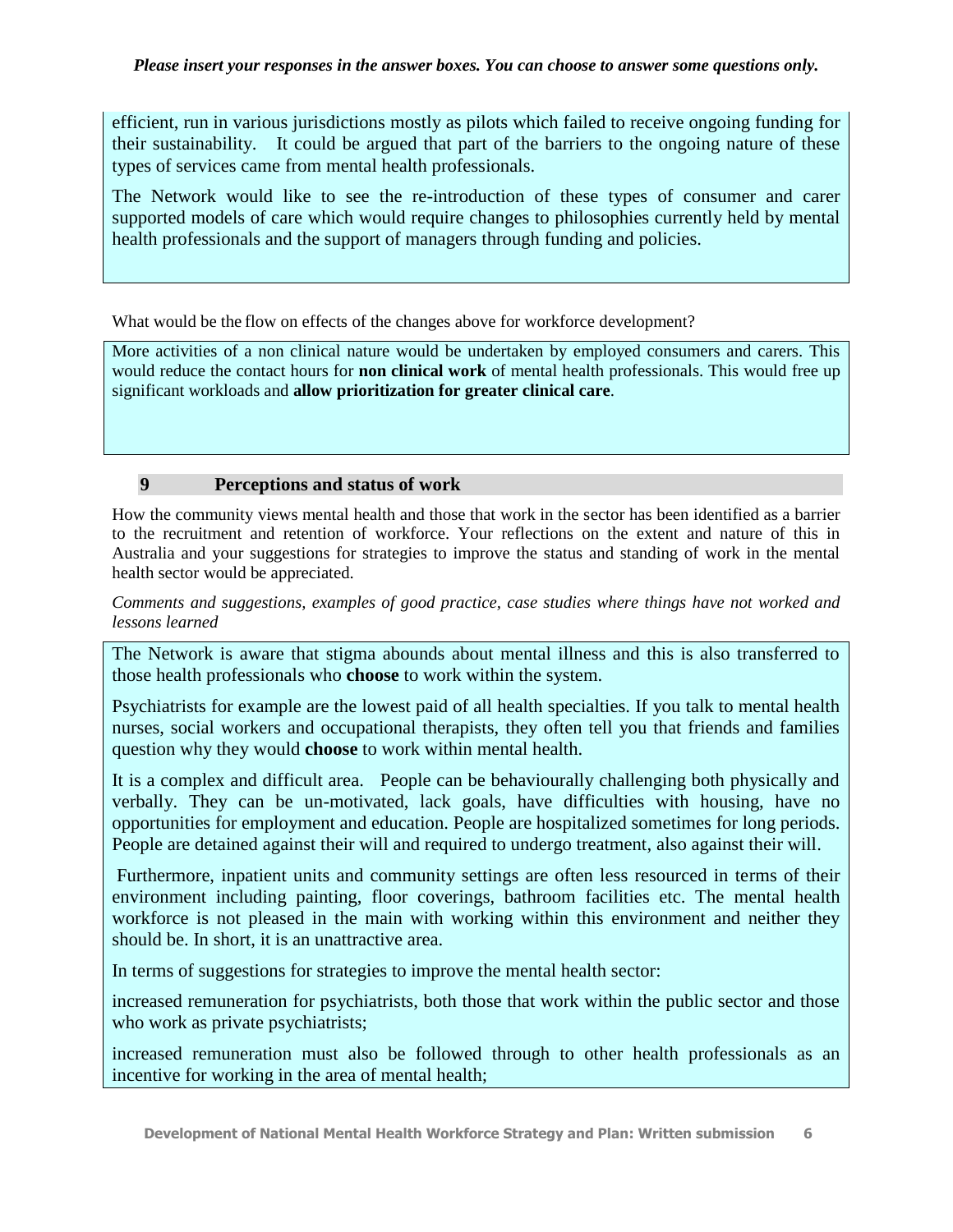efficient, run in various jurisdictions mostly as pilots which failed to receive ongoing funding for their sustainability. It could be argued that part of the barriers to the ongoing nature of these types of services came from mental health professionals.

The Network would like to see the re-introduction of these types of consumer and carer supported models of care which would require changes to philosophies currently held by mental health professionals and the support of managers through funding and policies.

What would be the flow on effects of the changes above for workforce development?

More activities of a non clinical nature would be undertaken by employed consumers and carers. This would reduce the contact hours for **non clinical work** of mental health professionals. This would free up significant workloads and **allow prioritization for greater clinical care**.

# **9 Perceptions and status of work**

How the community views mental health and those that work in the sector has been identified as a barrier to the recruitment and retention of workforce. Your reflections on the extent and nature of this in Australia and your suggestions for strategies to improve the status and standing of work in the mental health sector would be appreciated.

*Comments and suggestions, examples of good practice, case studies where things have not worked and lessons learned*

The Network is aware that stigma abounds about mental illness and this is also transferred to those health professionals who **choose** to work within the system.

Psychiatrists for example are the lowest paid of all health specialties. If you talk to mental health nurses, social workers and occupational therapists, they often tell you that friends and families question why they would **choose** to work within mental health.

It is a complex and difficult area. People can be behaviourally challenging both physically and verbally. They can be un-motivated, lack goals, have difficulties with housing, have no opportunities for employment and education. People are hospitalized sometimes for long periods. People are detained against their will and required to undergo treatment, also against their will.

Furthermore, inpatient units and community settings are often less resourced in terms of their environment including painting, floor coverings, bathroom facilities etc. The mental health workforce is not pleased in the main with working within this environment and neither they should be. In short, it is an unattractive area.

In terms of suggestions for strategies to improve the mental health sector:

increased remuneration for psychiatrists, both those that work within the public sector and those who work as private psychiatrists;

increased remuneration must also be followed through to other health professionals as an incentive for working in the area of mental health;